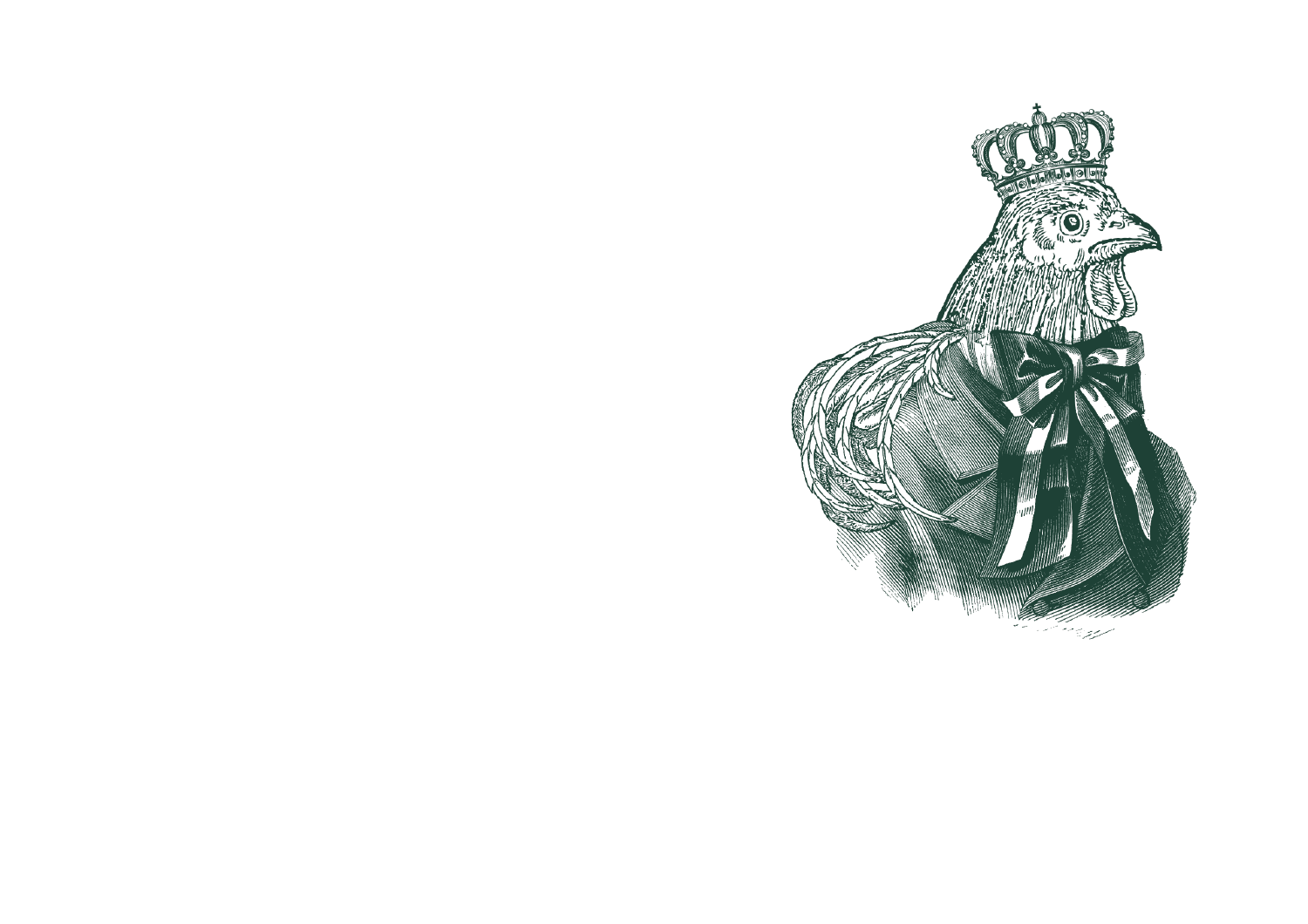